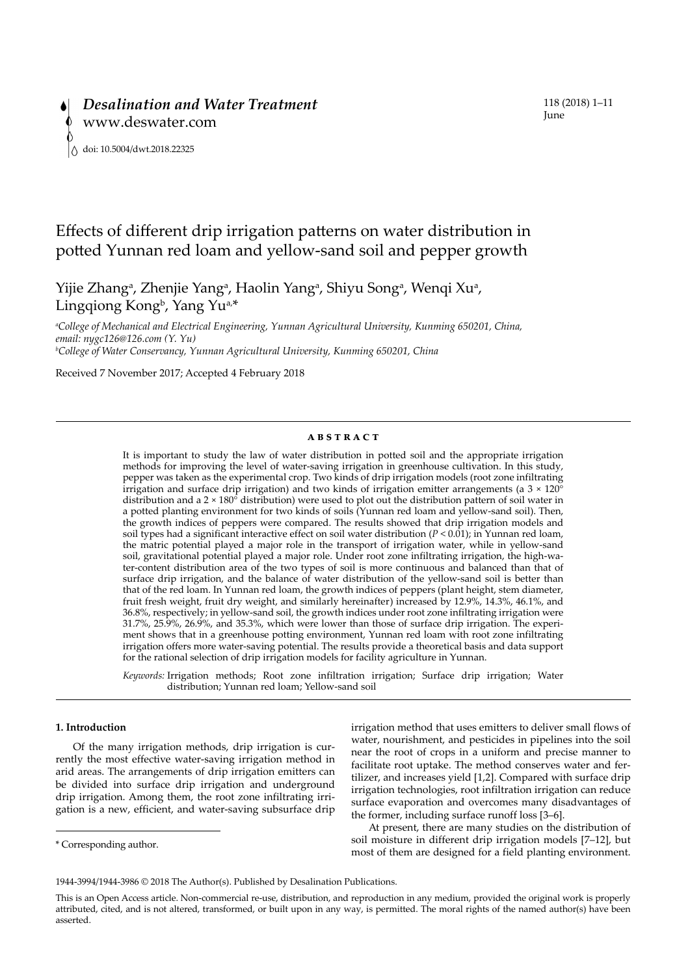# Effects of different drip irrigation patterns on water distribution in potted Yunnan red loam and yellow-sand soil and pepper growth

Yijie Zhang<sup>a</sup>, Zhenjie Yang<sup>a</sup>, Haolin Yang<sup>a</sup>, Shiyu Song<sup>a</sup>, Wenqi Xu<sup>a</sup>, Lingqiong Kong<sup>b</sup>, Yang Yu<sup>a,\*</sup>

*a College of Mechanical and Electrical Engineering, Yunnan Agricultural University, Kunming 650201, China, email: [nygc126@126.com](mailto:nygc126@126.com) (Y. Yu) b College of Water Conservancy, Yunnan Agricultural University, Kunming 650201, China*

Received 7 November 2017; Accepted 4 February 2018

### **abstract**

It is important to study the law of water distribution in potted soil and the appropriate irrigation methods for improving the level of water-saving irrigation in greenhouse cultivation. In this study, pepper was taken as the experimental crop. Two kinds of drip irrigation models (root zone infiltrating irrigation and surface drip irrigation) and two kinds of irrigation emitter arrangements (a  $3 \times 120^\circ$ ) distribution and a 2 × 180° distribution) were used to plot out the distribution pattern of soil water in a potted planting environment for two kinds of soils (Yunnan red loam and yellow-sand soil). Then, the growth indices of peppers were compared. The results showed that drip irrigation models and soil types had a significant interactive effect on soil water distribution (*P* < 0.01); in Yunnan red loam, the matric potential played a major role in the transport of irrigation water, while in yellow-sand soil, gravitational potential played a major role. Under root zone infiltrating irrigation, the high-water-content distribution area of the two types of soil is more continuous and balanced than that of surface drip irrigation, and the balance of water distribution of the yellow-sand soil is better than that of the red loam. In Yunnan red loam, the growth indices of peppers (plant height, stem diameter, fruit fresh weight, fruit dry weight, and similarly hereinafter) increased by 12.9%, 14.3%, 46.1%, and 36.8%, respectively; in yellow-sand soil, the growth indices under root zone infiltrating irrigation were 31.7%, 25.9%, 26.9%, and 35.3%, which were lower than those of surface drip irrigation. The experiment shows that in a greenhouse potting environment, Yunnan red loam with root zone infiltrating irrigation offers more water-saving potential. The results provide a theoretical basis and data support for the rational selection of drip irrigation models for facility agriculture in Yunnan.

*Keywords:* Irrigation methods; Root zone infiltration irrigation; Surface drip irrigation; Water distribution; Yunnan red loam; Yellow-sand soil

# **1. Introduction**

Of the many irrigation methods, drip irrigation is currently the most effective water-saving irrigation method in arid areas. The arrangements of drip irrigation emitters can be divided into surface drip irrigation and underground drip irrigation. Among them, the root zone infiltrating irrigation is a new, efficient, and water-saving subsurface drip irrigation method that uses emitters to deliver small flows of water, nourishment, and pesticides in pipelines into the soil near the root of crops in a uniform and precise manner to facilitate root uptake. The method conserves water and fertilizer, and increases yield [1,2]. Compared with surface drip irrigation technologies, root infiltration irrigation can reduce surface evaporation and overcomes many disadvantages of the former, including surface runoff loss [3–6].

At present, there are many studies on the distribution of soil moisture in different drip irrigation models [7–12], but most of them are designed for a field planting environment.

<sup>\*</sup> Corresponding author.

<sup>1944-3994/1944-3986 ©</sup> 2018 The Author(s). Published by Desalination Publications.

This is an Open Access article. Non-commercial re-use, distribution, and reproduction in any medium, provided the original work is properly attributed, cited, and is not altered, transformed, or built upon in any way, is permitted. The moral rights of the named author(s) have been asserted.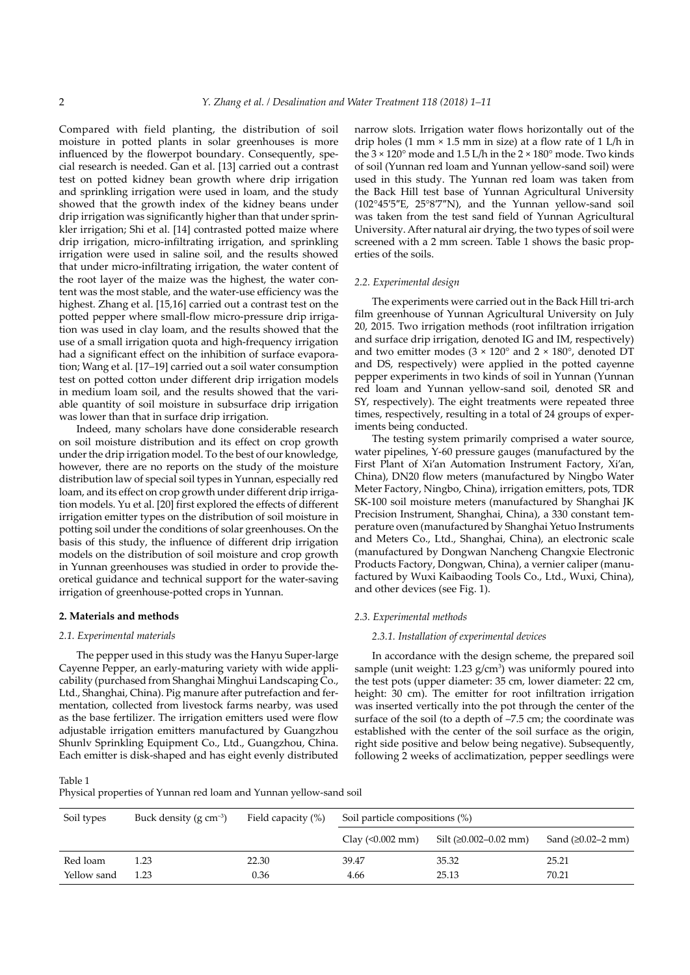Compared with field planting, the distribution of soil moisture in potted plants in solar greenhouses is more influenced by the flowerpot boundary. Consequently, special research is needed. Gan et al. [13] carried out a contrast test on potted kidney bean growth where drip irrigation and sprinkling irrigation were used in loam, and the study showed that the growth index of the kidney beans under drip irrigation was significantly higher than that under sprinkler irrigation; Shi et al. [14] contrasted potted maize where drip irrigation, micro-infiltrating irrigation, and sprinkling irrigation were used in saline soil, and the results showed that under micro-infiltrating irrigation, the water content of the root layer of the maize was the highest, the water content was the most stable, and the water-use efficiency was the highest. Zhang et al. [15,16] carried out a contrast test on the potted pepper where small-flow micro-pressure drip irrigation was used in clay loam, and the results showed that the use of a small irrigation quota and high-frequency irrigation had a significant effect on the inhibition of surface evaporation; Wang et al. [17–19] carried out a soil water consumption test on potted cotton under different drip irrigation models in medium loam soil, and the results showed that the variable quantity of soil moisture in subsurface drip irrigation was lower than that in surface drip irrigation.

Indeed, many scholars have done considerable research on soil moisture distribution and its effect on crop growth under the drip irrigation model. To the best of our knowledge, however, there are no reports on the study of the moisture distribution law of special soil types in Yunnan, especially red loam, and its effect on crop growth under different drip irrigation models. Yu et al. [20] first explored the effects of different irrigation emitter types on the distribution of soil moisture in potting soil under the conditions of solar greenhouses. On the basis of this study, the influence of different drip irrigation models on the distribution of soil moisture and crop growth in Yunnan greenhouses was studied in order to provide theoretical guidance and technical support for the water-saving irrigation of greenhouse-potted crops in Yunnan.

### **2. Materials and methods**

### *2.1. Experimental materials*

The pepper used in this study was the Hanyu Super-large Cayenne Pepper, an early-maturing variety with wide applicability (purchased from Shanghai Minghui Landscaping Co., Ltd., Shanghai, China). Pig manure after putrefaction and fermentation, collected from livestock farms nearby, was used as the base fertilizer. The irrigation emitters used were flow adjustable irrigation emitters manufactured by Guangzhou Shunlv Sprinkling Equipment Co., Ltd., Guangzhou, China. Each emitter is disk-shaped and has eight evenly distributed

narrow slots. Irrigation water flows horizontally out of the drip holes (1 mm  $\times$  1.5 mm in size) at a flow rate of 1 L/h in the 3 × 120° mode and 1.5 L/h in the 2 × 180° mode. Two kinds of soil (Yunnan red loam and Yunnan yellow-sand soil) were used in this study. The Yunnan red loam was taken from the Back Hill test base of Yunnan Agricultural University (102°45′5″E, 25°8′7″N), and the Yunnan yellow-sand soil was taken from the test sand field of Yunnan Agricultural University. After natural air drying, the two types of soil were screened with a 2 mm screen. Table 1 shows the basic properties of the soils.

#### *2.2. Experimental design*

The experiments were carried out in the Back Hill tri-arch film greenhouse of Yunnan Agricultural University on July 20, 2015. Two irrigation methods (root infiltration irrigation and surface drip irrigation, denoted IG and IM, respectively) and two emitter modes ( $3 \times 120^{\circ}$  and  $2 \times 180^{\circ}$ , denoted DT and DS, respectively) were applied in the potted cayenne pepper experiments in two kinds of soil in Yunnan (Yunnan red loam and Yunnan yellow-sand soil, denoted SR and SY, respectively). The eight treatments were repeated three times, respectively, resulting in a total of 24 groups of experiments being conducted.

The testing system primarily comprised a water source, water pipelines, Y-60 pressure gauges (manufactured by the First Plant of Xi'an Automation Instrument Factory, Xi'an, China), DN20 flow meters (manufactured by Ningbo Water Meter Factory, Ningbo, China), irrigation emitters, pots, TDR SK-100 soil moisture meters (manufactured by Shanghai JK Precision Instrument, Shanghai, China), a 330 constant temperature oven (manufactured by Shanghai Yetuo Instruments and Meters Co., Ltd., Shanghai, China), an electronic scale (manufactured by Dongwan Nancheng Changxie Electronic Products Factory, Dongwan, China), a vernier caliper (manufactured by Wuxi Kaibaoding Tools Co., Ltd., Wuxi, China), and other devices (see Fig. 1).

### *2.3. Experimental methods*

#### *2.3.1. Installation of experimental devices*

In accordance with the design scheme, the prepared soil sample (unit weight: 1.23  $g/cm<sup>3</sup>$ ) was uniformly poured into the test pots (upper diameter: 35 cm, lower diameter: 22 cm, height: 30 cm). The emitter for root infiltration irrigation was inserted vertically into the pot through the center of the surface of the soil (to a depth of –7.5 cm; the coordinate was established with the center of the soil surface as the origin, right side positive and below being negative). Subsequently, following 2 weeks of acclimatization, pepper seedlings were

Table 1 Physical properties of Yunnan red loam and Yunnan yellow-sand soil

| Soil types  | Buck density (g $cm^{-3}$ ) | Field capacity (%) | Soil particle compositions (%) |                       |                     |  |  |  |  |
|-------------|-----------------------------|--------------------|--------------------------------|-----------------------|---------------------|--|--|--|--|
|             |                             |                    | Clay $(0.002 \text{ mm})$      | Silt (≥0.002–0.02 mm) | Sand $(≥0.02-2 mm)$ |  |  |  |  |
| Red loam    | 1.23                        | 22.30              | 39.47                          | 35.32                 | 25.21               |  |  |  |  |
| Yellow sand | 1.23                        | 0.36               | 4.66                           | 25.13                 | 70.21               |  |  |  |  |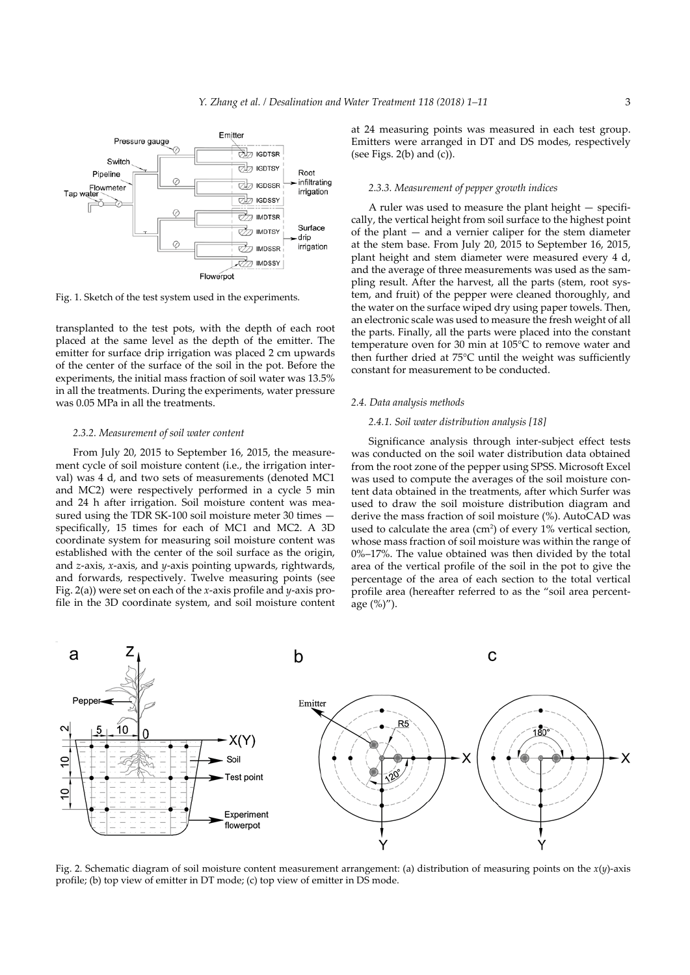

Fig. 1. Sketch of the test system used in the experiments.

transplanted to the test pots, with the depth of each root placed at the same level as the depth of the emitter. The emitter for surface drip irrigation was placed 2 cm upwards of the center of the surface of the soil in the pot. Before the experiments, the initial mass fraction of soil water was 13.5% in all the treatments. During the experiments, water pressure was 0.05 MPa in all the treatments.

#### *2.3.2. Measurement of soil water content*

From July 20, 2015 to September 16, 2015, the measurement cycle of soil moisture content (i.e., the irrigation interval) was 4 d, and two sets of measurements (denoted MC1 and MC2) were respectively performed in a cycle 5 min and 24 h after irrigation. Soil moisture content was measured using the TDR SK-100 soil moisture meter 30 times specifically, 15 times for each of MC1 and MC2. A 3D coordinate system for measuring soil moisture content was established with the center of the soil surface as the origin, and *z*-axis, *x*-axis, and *y*-axis pointing upwards, rightwards, and forwards, respectively. Twelve measuring points (see Fig. 2(a)) were set on each of the *x*-axis profile and *y*-axis profile in the 3D coordinate system, and soil moisture content at 24 measuring points was measured in each test group. Emitters were arranged in DT and DS modes, respectively (see Figs.  $2(b)$  and  $(c)$ ).

#### *2.3.3. Measurement of pepper growth indices*

A ruler was used to measure the plant height — specifically, the vertical height from soil surface to the highest point of the plant — and a vernier caliper for the stem diameter at the stem base. From July 20, 2015 to September 16, 2015, plant height and stem diameter were measured every 4 d, and the average of three measurements was used as the sampling result. After the harvest, all the parts (stem, root system, and fruit) of the pepper were cleaned thoroughly, and the water on the surface wiped dry using paper towels. Then, an electronic scale was used to measure the fresh weight of all the parts. Finally, all the parts were placed into the constant temperature oven for 30 min at 105°C to remove water and then further dried at 75°C until the weight was sufficiently constant for measurement to be conducted.

#### *2.4. Data analysis methods*

### *2.4.1. Soil water distribution analysis [18]*

Significance analysis through inter-subject effect tests was conducted on the soil water distribution data obtained from the root zone of the pepper using SPSS. Microsoft Excel was used to compute the averages of the soil moisture content data obtained in the treatments, after which Surfer was used to draw the soil moisture distribution diagram and derive the mass fraction of soil moisture (%). AutoCAD was used to calculate the area  $(cm<sup>2</sup>)$  of every 1% vertical section, whose mass fraction of soil moisture was within the range of 0%–17%. The value obtained was then divided by the total area of the vertical profile of the soil in the pot to give the percentage of the area of each section to the total vertical profile area (hereafter referred to as the "soil area percentage (%)").



Fig. 2. Schematic diagram of soil moisture content measurement arrangement: (a) distribution of measuring points on the *x*(*y*)-axis profile; (b) top view of emitter in DT mode; (c) top view of emitter in DS mode.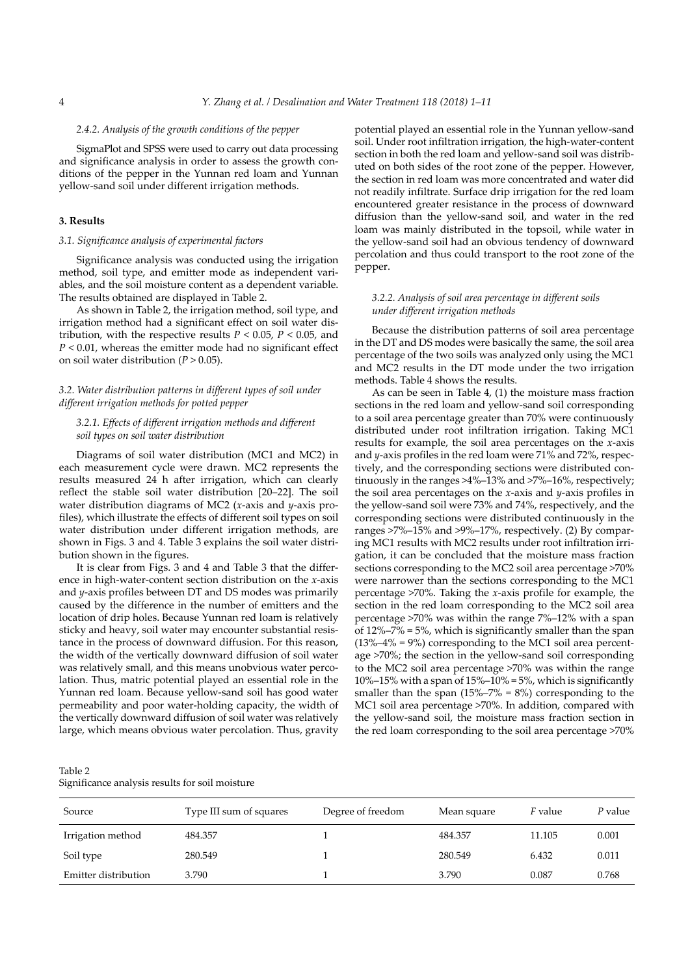### *2.4.2. Analysis of the growth conditions of the pepper*

SigmaPlot and SPSS were used to carry out data processing and significance analysis in order to assess the growth conditions of the pepper in the Yunnan red loam and Yunnan yellow-sand soil under different irrigation methods.

# **3. Results**

# *3.1. Significance analysis of experimental factors*

Significance analysis was conducted using the irrigation method, soil type, and emitter mode as independent variables, and the soil moisture content as a dependent variable. The results obtained are displayed in Table 2.

As shown in Table 2, the irrigation method, soil type, and irrigation method had a significant effect on soil water distribution, with the respective results  $P < 0.05$ ,  $P < 0.05$ , and *P* < 0.01, whereas the emitter mode had no significant effect on soil water distribution ( $P > 0.05$ ).

## *3.2. Water distribution patterns in different types of soil under different irrigation methods for potted pepper*

# *3.2.1. Effects of different irrigation methods and different soil types on soil water distribution*

Diagrams of soil water distribution (MC1 and MC2) in each measurement cycle were drawn. MC2 represents the results measured 24 h after irrigation, which can clearly reflect the stable soil water distribution [20–22]. The soil water distribution diagrams of MC2 (*x*-axis and *y*-axis profiles), which illustrate the effects of different soil types on soil water distribution under different irrigation methods, are shown in Figs. 3 and 4. Table 3 explains the soil water distribution shown in the figures.

It is clear from Figs. 3 and 4 and Table 3 that the difference in high-water-content section distribution on the *x*-axis and *y*-axis profiles between DT and DS modes was primarily caused by the difference in the number of emitters and the location of drip holes. Because Yunnan red loam is relatively sticky and heavy, soil water may encounter substantial resistance in the process of downward diffusion. For this reason, the width of the vertically downward diffusion of soil water was relatively small, and this means unobvious water percolation. Thus, matric potential played an essential role in the Yunnan red loam. Because yellow-sand soil has good water permeability and poor water-holding capacity, the width of the vertically downward diffusion of soil water was relatively large, which means obvious water percolation. Thus, gravity

potential played an essential role in the Yunnan yellow-sand soil. Under root infiltration irrigation, the high-water-content section in both the red loam and yellow-sand soil was distributed on both sides of the root zone of the pepper. However, the section in red loam was more concentrated and water did not readily infiltrate. Surface drip irrigation for the red loam encountered greater resistance in the process of downward diffusion than the yellow-sand soil, and water in the red loam was mainly distributed in the topsoil, while water in the yellow-sand soil had an obvious tendency of downward percolation and thus could transport to the root zone of the pepper.

### *3.2.2. Analysis of soil area percentage in different soils under different irrigation methods*

Because the distribution patterns of soil area percentage in the DT and DS modes were basically the same, the soil area percentage of the two soils was analyzed only using the MC1 and MC2 results in the DT mode under the two irrigation methods. Table 4 shows the results.

As can be seen in Table 4, (1) the moisture mass fraction sections in the red loam and yellow-sand soil corresponding to a soil area percentage greater than 70% were continuously distributed under root infiltration irrigation. Taking MC1 results for example, the soil area percentages on the *x*-axis and *y*-axis profiles in the red loam were 71% and 72%, respectively, and the corresponding sections were distributed continuously in the ranges >4%–13% and >7%–16%, respectively; the soil area percentages on the *x*-axis and *y*-axis profiles in the yellow-sand soil were 73% and 74%, respectively, and the corresponding sections were distributed continuously in the ranges >7%–15% and >9%–17%, respectively. (2) By comparing MC1 results with MC2 results under root infiltration irrigation, it can be concluded that the moisture mass fraction sections corresponding to the MC2 soil area percentage >70% were narrower than the sections corresponding to the MC1 percentage >70%. Taking the *x*-axis profile for example, the section in the red loam corresponding to the MC2 soil area percentage >70% was within the range 7%–12% with a span of 12%–7% = 5%, which is significantly smaller than the span  $(13\%–4\% = 9\%)$  corresponding to the MC1 soil area percentage >70%; the section in the yellow-sand soil corresponding to the MC2 soil area percentage >70% was within the range 10%–15% with a span of  $15%$ –10% = 5%, which is significantly smaller than the span (15%–7% = 8%) corresponding to the MC1 soil area percentage >70%. In addition, compared with the yellow-sand soil, the moisture mass fraction section in the red loam corresponding to the soil area percentage >70%

Table 2 Significance analysis results for soil moisture

| Source               | Type III sum of squares | Degree of freedom | Mean square | <i>F</i> value | P value |
|----------------------|-------------------------|-------------------|-------------|----------------|---------|
| Irrigation method    | 484.357                 |                   | 484.357     | 11.105         | 0.001   |
| Soil type            | 280.549                 |                   | 280.549     | 6.432          | 0.011   |
| Emitter distribution | 3.790                   |                   | 3.790       | 0.087          | 0.768   |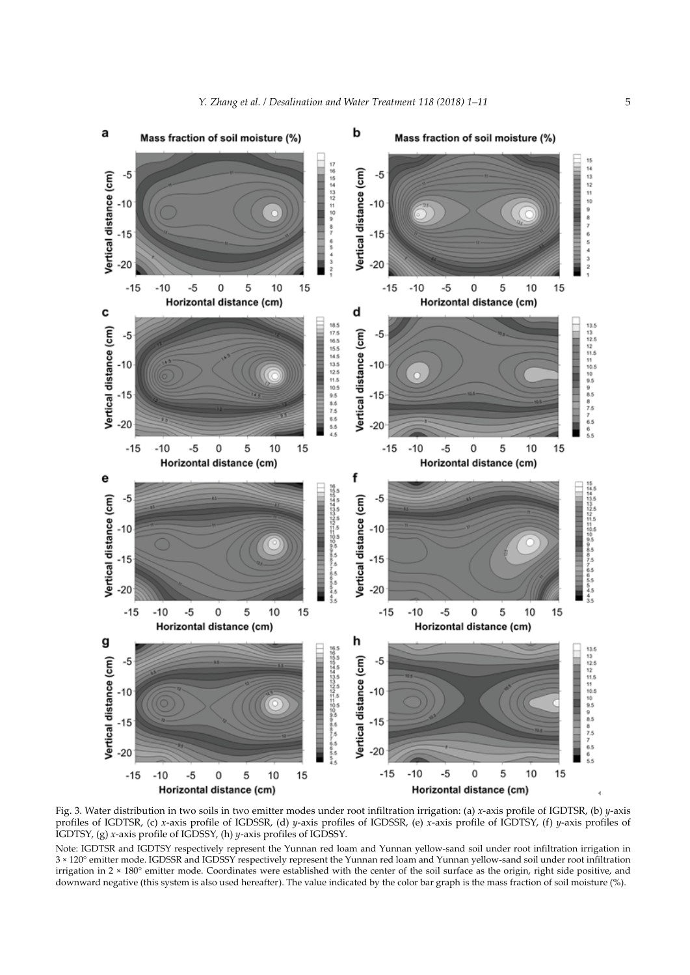

Fig. 3. Water distribution in two soils in two emitter modes under root infiltration irrigation: (a) *x*-axis profile of IGDTSR, (b) *y*-axis profiles of IGDTSR, (c) *x*-axis profile of IGDSSR, (d) *y*-axis profiles of IGDSSR, (e) *x*-axis profile of IGDTSY, (f) *y*-axis profiles of IGDTSY, (g) *x*-axis profile of IGDSSY, (h) *y*-axis profiles of IGDSSY.

Note: IGDTSR and IGDTSY respectively represent the Yunnan red loam and Yunnan yellow-sand soil under root infiltration irrigation in 3 × 120° emitter mode. IGDSSR and IGDSSY respectively represent the Yunnan red loam and Yunnan yellow-sand soil under root infiltration irrigation in 2 × 180° emitter mode. Coordinates were established with the center of the soil surface as the origin, right side positive, and downward negative (this system is also used hereafter). The value indicated by the color bar graph is the mass fraction of soil moisture (%).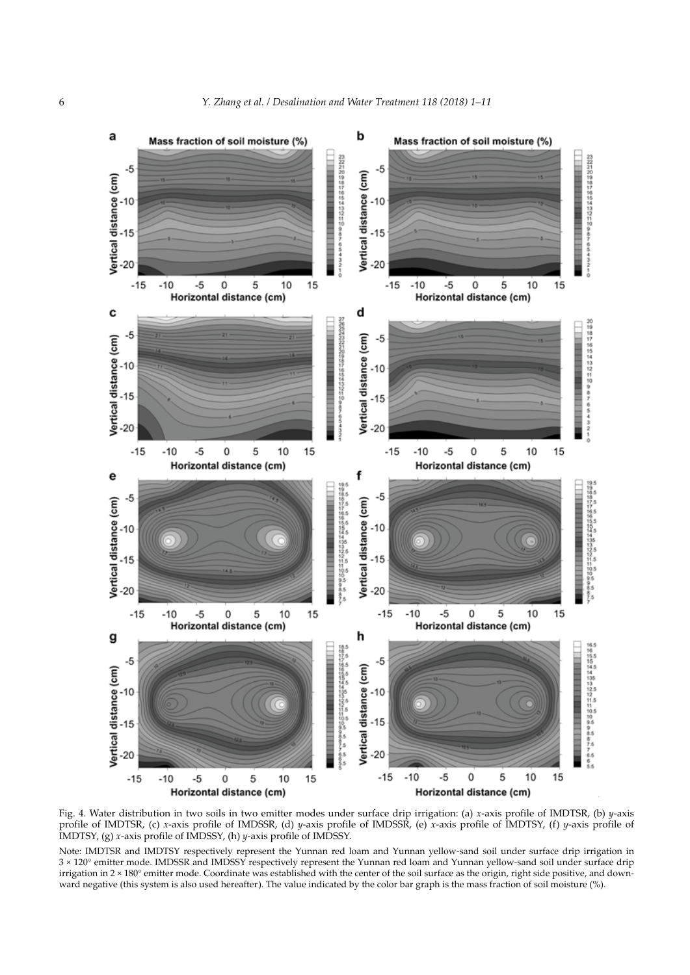

Fig. 4. Water distribution in two soils in two emitter modes under surface drip irrigation: (a) *x*-axis profile of IMDTSR, (b) *y*-axis profile of IMDTSR, (c) *x*-axis profile of IMDSSR, (d) *y*-axis profile of IMDSSR, (e) *x*-axis profile of IMDTSY, (f) *y*-axis profile of IMDTSY, (g) *x*-axis profile of IMDSSY, (h) *y*-axis profile of IMDSSY.

Note: IMDTSR and IMDTSY respectively represent the Yunnan red loam and Yunnan yellow-sand soil under surface drip irrigation in 3 × 120° emitter mode. IMDSSR and IMDSSY respectively represent the Yunnan red loam and Yunnan yellow-sand soil under surface drip irrigation in 2 × 180° emitter mode. Coordinate was established with the center of the soil surface as the origin, right side positive, and downward negative (this system is also used hereafter). The value indicated by the color bar graph is the mass fraction of soil moisture (%).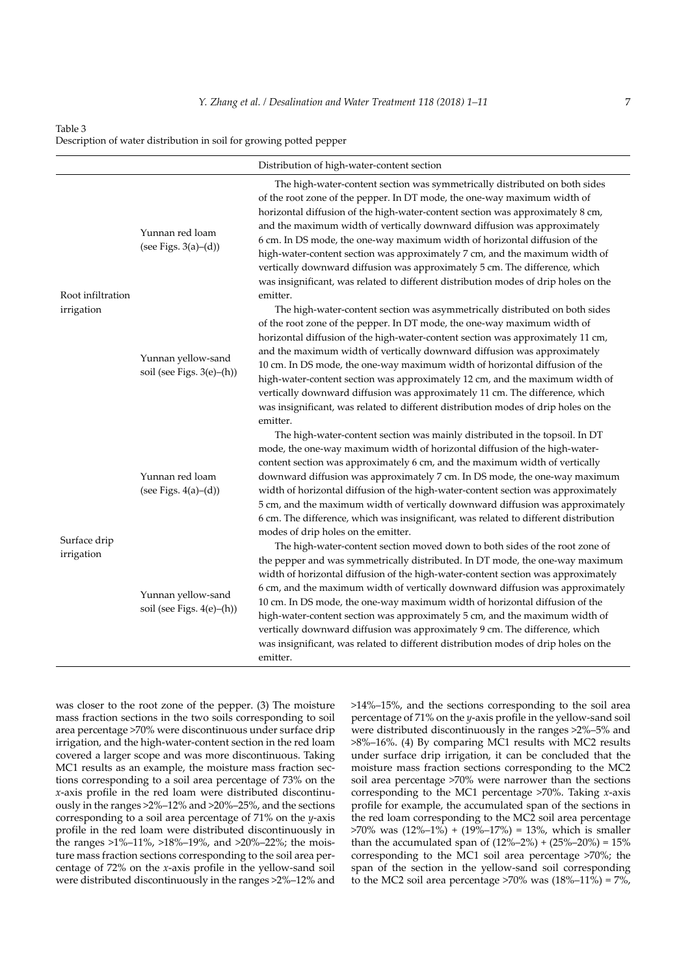Table 3

Description of water distribution in soil for growing potted pepper

|                                 |                                                 | Distribution of high-water-content section                                                                                                                                                                                                                                                                                                                                                                                                                                                                                                                                                                                                                                                                  |
|---------------------------------|-------------------------------------------------|-------------------------------------------------------------------------------------------------------------------------------------------------------------------------------------------------------------------------------------------------------------------------------------------------------------------------------------------------------------------------------------------------------------------------------------------------------------------------------------------------------------------------------------------------------------------------------------------------------------------------------------------------------------------------------------------------------------|
|                                 |                                                 |                                                                                                                                                                                                                                                                                                                                                                                                                                                                                                                                                                                                                                                                                                             |
| Root infiltration<br>irrigation | Yunnan red loam<br>(see Figs. $3(a)–(d)$ )      | The high-water-content section was symmetrically distributed on both sides<br>of the root zone of the pepper. In DT mode, the one-way maximum width of<br>horizontal diffusion of the high-water-content section was approximately 8 cm,<br>and the maximum width of vertically downward diffusion was approximately<br>6 cm. In DS mode, the one-way maximum width of horizontal diffusion of the<br>high-water-content section was approximately 7 cm, and the maximum width of<br>vertically downward diffusion was approximately 5 cm. The difference, which<br>was insignificant, was related to different distribution modes of drip holes on the<br>emitter.                                         |
|                                 | Yunnan yellow-sand<br>soil (see Figs. 3(e)-(h)) | The high-water-content section was asymmetrically distributed on both sides<br>of the root zone of the pepper. In DT mode, the one-way maximum width of<br>horizontal diffusion of the high-water-content section was approximately 11 cm,<br>and the maximum width of vertically downward diffusion was approximately<br>10 cm. In DS mode, the one-way maximum width of horizontal diffusion of the<br>high-water-content section was approximately 12 cm, and the maximum width of<br>vertically downward diffusion was approximately 11 cm. The difference, which<br>was insignificant, was related to different distribution modes of drip holes on the<br>emitter.                                    |
| Surface drip<br>irrigation      | Yunnan red loam<br>(see Figs. $4(a)–(d)$ )      | The high-water-content section was mainly distributed in the topsoil. In DT<br>mode, the one-way maximum width of horizontal diffusion of the high-water-<br>content section was approximately 6 cm, and the maximum width of vertically<br>downward diffusion was approximately 7 cm. In DS mode, the one-way maximum<br>width of horizontal diffusion of the high-water-content section was approximately<br>5 cm, and the maximum width of vertically downward diffusion was approximately<br>6 cm. The difference, which was insignificant, was related to different distribution<br>modes of drip holes on the emitter.<br>The high-water-content section moved down to both sides of the root zone of |
|                                 | Yunnan yellow-sand<br>soil (see Figs. 4(e)-(h)) | the pepper and was symmetrically distributed. In DT mode, the one-way maximum<br>width of horizontal diffusion of the high-water-content section was approximately<br>6 cm, and the maximum width of vertically downward diffusion was approximately<br>10 cm. In DS mode, the one-way maximum width of horizontal diffusion of the<br>high-water-content section was approximately 5 cm, and the maximum width of<br>vertically downward diffusion was approximately 9 cm. The difference, which<br>was insignificant, was related to different distribution modes of drip holes on the<br>emitter.                                                                                                        |

was closer to the root zone of the pepper. (3) The moisture mass fraction sections in the two soils corresponding to soil area percentage >70% were discontinuous under surface drip irrigation, and the high-water-content section in the red loam covered a larger scope and was more discontinuous. Taking MC1 results as an example, the moisture mass fraction sections corresponding to a soil area percentage of 73% on the *x*-axis profile in the red loam were distributed discontinuously in the ranges >2%–12% and >20%–25%, and the sections corresponding to a soil area percentage of 71% on the *y*-axis profile in the red loam were distributed discontinuously in the ranges >1%–11%, >18%–19%, and >20%–22%; the moisture mass fraction sections corresponding to the soil area percentage of 72% on the *x*-axis profile in the yellow-sand soil were distributed discontinuously in the ranges >2%–12% and

>14%–15%, and the sections corresponding to the soil area percentage of 71% on the *y*-axis profile in the yellow-sand soil were distributed discontinuously in the ranges >2%–5% and >8%–16%. (4) By comparing MC1 results with MC2 results under surface drip irrigation, it can be concluded that the moisture mass fraction sections corresponding to the MC2 soil area percentage >70% were narrower than the sections corresponding to the MC1 percentage >70%. Taking *x*-axis profile for example, the accumulated span of the sections in the red loam corresponding to the MC2 soil area percentage  $>70\%$  was  $(12\% - 1\%) + (19\% - 17\%) = 13\%$ , which is smaller than the accumulated span of  $(12\% - 2\%) + (25\% - 20\%) = 15\%$ corresponding to the MC1 soil area percentage >70%; the span of the section in the yellow-sand soil corresponding to the MC2 soil area percentage  $>70\%$  was  $(18\text{%-11\%}) = 7\%$ ,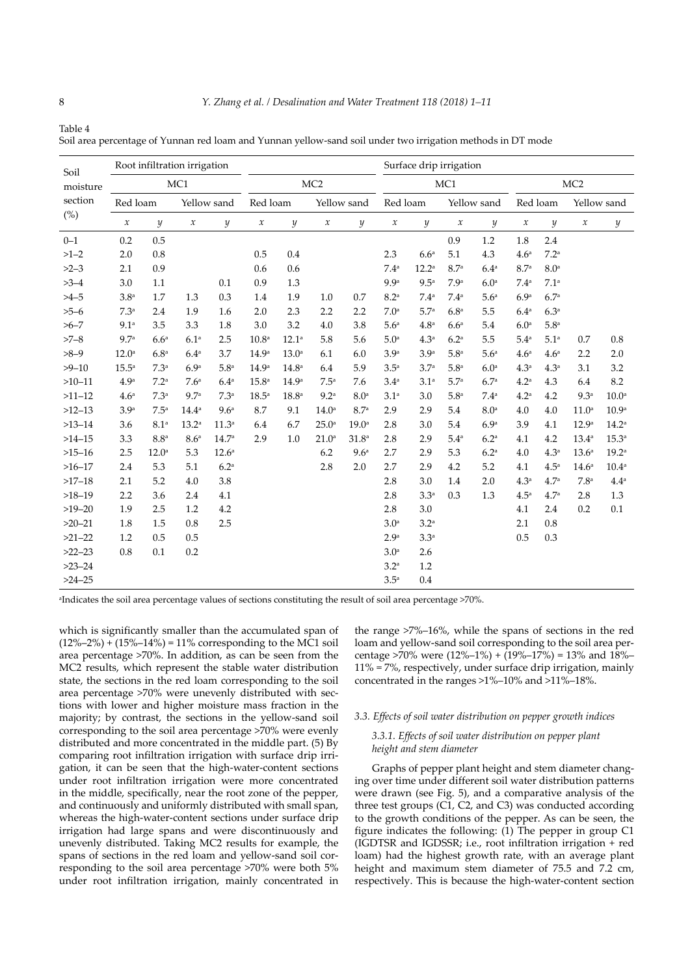| Soil<br>moisture<br>section<br>(%) | Root infiltration irrigation |                   |                     |                   |                     |                   |                     |                   |                     | Surface drip irrigation |                     |                  |                     |                  |                     |                   |
|------------------------------------|------------------------------|-------------------|---------------------|-------------------|---------------------|-------------------|---------------------|-------------------|---------------------|-------------------------|---------------------|------------------|---------------------|------------------|---------------------|-------------------|
|                                    | MC1                          |                   |                     | MC <sub>2</sub>   |                     |                   | MC1                 |                   |                     |                         | MC <sub>2</sub>     |                  |                     |                  |                     |                   |
|                                    | Red loam                     |                   | Yellow sand         |                   | Red loam            |                   | Yellow sand         |                   | Red loam            |                         | Yellow sand         |                  | Red loam            |                  | Yellow sand         |                   |
|                                    | $\boldsymbol{\chi}$          | $\boldsymbol{y}$  | $\boldsymbol{\chi}$ | $\boldsymbol{y}$  | $\boldsymbol{\chi}$ | $\boldsymbol{y}$  | $\boldsymbol{\chi}$ | y                 | $\boldsymbol{\chi}$ | $\mathcal{Y}$           | $\boldsymbol{\chi}$ | $\mathcal{Y}$    | $\boldsymbol{\chi}$ | $\boldsymbol{y}$ | $\boldsymbol{\chi}$ | $\boldsymbol{y}$  |
| $0 - 1$                            | 0.2                          | 0.5               |                     |                   |                     |                   |                     |                   |                     |                         | 0.9                 | 1.2              | 1.8                 | 2.4              |                     |                   |
| $>1-2$                             | 2.0                          | 0.8               |                     |                   | 0.5                 | 0.4               |                     |                   | 2.3                 | 6.6 <sup>a</sup>        | 5.1                 | 4.3              | 4.6 <sup>a</sup>    | 7.2 <sup>a</sup> |                     |                   |
| $>2-3$                             | 2.1                          | 0.9               |                     |                   | 0.6                 | 0.6               |                     |                   | 7.4 <sup>a</sup>    | $12.2^a$                | 8.7 <sup>a</sup>    | 6.4 <sup>a</sup> | 8.7 <sup>a</sup>    | 8.0 <sup>a</sup> |                     |                   |
| $>3-4$                             | 3.0                          | 1.1               |                     | 0.1               | 0.9                 | 1.3               |                     |                   | 9.9 <sup>a</sup>    | 9.5 <sup>a</sup>        | 7.9 <sup>a</sup>    | 6.0 <sup>a</sup> | 7.4 <sup>a</sup>    | 7.1 <sup>a</sup> |                     |                   |
| $>4-5$                             | 3.8 <sup>a</sup>             | 1.7               | 1.3                 | 0.3               | 1.4                 | 1.9               | 1.0                 | 0.7               | 8.2 <sup>a</sup>    | 7.4 <sup>a</sup>        | 7.4 <sup>a</sup>    | 5.6 <sup>a</sup> | 6.9a                | 6.7 <sup>a</sup> |                     |                   |
| $>5-6$                             | 7.3 <sup>a</sup>             | 2.4               | 1.9                 | 1.6               | 2.0                 | 2.3               | 2.2                 | 2.2               | 7.0 <sup>a</sup>    | 5.7 <sup>a</sup>        | 6.8 <sup>a</sup>    | 5.5              | 6.4 <sup>a</sup>    | 6.3 <sup>a</sup> |                     |                   |
| $>6 - 7$                           | 9.1 <sup>a</sup>             | 3.5               | 3.3                 | 1.8               | 3.0                 | 3.2               | 4.0                 | 3.8               | 5.6 <sup>a</sup>    | 4.8 <sup>a</sup>        | 6.6 <sup>a</sup>    | 5.4              | 6.0 <sup>a</sup>    | 5.8 <sup>a</sup> |                     |                   |
| $>7-8$                             | 9.7 <sup>a</sup>             | 6.6 <sup>a</sup>  | 6.1 <sup>a</sup>    | 2.5               | 10.8 <sup>a</sup>   | $12.1^a$          | 5.8                 | 5.6               | 5.0 <sup>a</sup>    | 4.3 <sup>a</sup>        | 6.2 <sup>a</sup>    | 5.5              | 5.4 <sup>a</sup>    | 5.1 <sup>a</sup> | 0.7                 | 0.8               |
| $>8-9$                             | $12.0^{\circ}$               | 6.8 <sup>a</sup>  | 6.4 <sup>a</sup>    | 3.7               | 14.9 <sup>a</sup>   | 13.0 <sup>a</sup> | 6.1                 | 6.0               | 3.9 <sup>a</sup>    | 3.9 <sup>a</sup>        | 5.8 <sup>a</sup>    | 5.6 <sup>a</sup> | 4.6 <sup>a</sup>    | 4.6 <sup>a</sup> | 2.2                 | 2.0               |
| $>9 - 10$                          | 15.5 <sup>a</sup>            | 7.3 <sup>a</sup>  | 6.9 <sup>a</sup>    | 5.8 <sup>a</sup>  | 14.9 <sup>a</sup>   | 14.8 <sup>a</sup> | 6.4                 | 5.9               | 3.5 <sup>a</sup>    | 3.7 <sup>a</sup>        | 5.8 <sup>a</sup>    | 6.0 <sup>a</sup> | 4.3 <sup>a</sup>    | 4.3 <sup>a</sup> | 3.1                 | 3.2               |
| $>10 - 11$                         | 4.9 <sup>a</sup>             | 7.2 <sup>a</sup>  | 7.6 <sup>a</sup>    | 6.4 <sup>a</sup>  | $15.8^{\circ}$      | 14.9 <sup>a</sup> | 7.5 <sup>a</sup>    | 7.6               | 3.4 <sup>a</sup>    | 3.1 <sup>a</sup>        | 5.7 <sup>a</sup>    | 6.7 <sup>a</sup> | 4.2 <sup>a</sup>    | 4.3              | 6.4                 | 8.2               |
| $>11 - 12$                         | 4.6 <sup>a</sup>             | 7.3 <sup>a</sup>  | 9.7 <sup>a</sup>    | 7.3 <sup>a</sup>  | 18.5 <sup>a</sup>   | 18.8 <sup>a</sup> | 9.2 <sup>a</sup>    | 8.0 <sup>a</sup>  | 3.1 <sup>a</sup>    | 3.0                     | 5.8 <sup>a</sup>    | 7.4 <sup>a</sup> | 4.2 <sup>a</sup>    | 4.2              | 9.3 <sup>a</sup>    | 10.0 <sup>a</sup> |
| $>12-13$                           | 3.9 <sup>a</sup>             | 7.5 <sup>a</sup>  | 14.4 <sup>a</sup>   | 9.6 <sup>a</sup>  | 8.7                 | 9.1               | $14.0^{\circ}$      | 8.7 <sup>a</sup>  | 2.9                 | 2.9                     | 5.4                 | 8.0 <sup>a</sup> | 4.0                 | 4.0              | 11.0 <sup>a</sup>   | 10.9 <sup>a</sup> |
| $>13 - 14$                         | 3.6                          | 8.1 <sup>a</sup>  | $13.2^{\circ}$      | 11.3 <sup>a</sup> | 6.4                 | 6.7               | $25.0^{\circ}$      | $19.0^{\circ}$    | 2.8                 | 3.0                     | 5.4                 | 6.9 <sup>a</sup> | 3.9                 | 4.1              | 12.9 <sup>a</sup>   | $14.2^{\circ}$    |
| $>14 - 15$                         | 3.3                          | 8.8 <sup>a</sup>  | 8.6 <sup>a</sup>    | 14.7 <sup>a</sup> | 2.9                 | 1.0               | $21.0^{\circ}$      | 31.8 <sup>a</sup> | 2.8                 | 2.9                     | 5.4 <sup>a</sup>    | 6.2 <sup>a</sup> | 4.1                 | 4.2              | $13.4^{\circ}$      | 15.3 <sup>a</sup> |
| $>15 - 16$                         | 2.5                          | 12.0 <sup>a</sup> | 5.3                 | $12.6^{\circ}$    |                     |                   | 6.2                 | 9.6 <sup>a</sup>  | 2.7                 | 2.9                     | 5.3                 | 6.2 <sup>a</sup> | 4.0                 | 4.3 <sup>a</sup> | $13.6^{\circ}$      | 19.2 <sup>a</sup> |
| $>16 - 17$                         | 2.4                          | 5.3               | 5.1                 | 6.2 <sup>a</sup>  |                     |                   | 2.8                 | 2.0               | 2.7                 | 2.9                     | 4.2                 | 5.2              | 4.1                 | 4.5 <sup>a</sup> | 14.6 <sup>a</sup>   | 10.4 <sup>a</sup> |
| $>17 - 18$                         | 2.1                          | 5.2               | 4.0                 | 3.8               |                     |                   |                     |                   | 2.8                 | 3.0                     | 1.4                 | 2.0              | 4.3 <sup>a</sup>    | 4.7 <sup>a</sup> | 7.8 <sup>a</sup>    | 4.4 <sup>a</sup>  |
| $>18 - 19$                         | 2.2                          | 3.6               | 2.4                 | 4.1               |                     |                   |                     |                   | 2.8                 | 3.3 <sup>a</sup>        | 0.3                 | 1.3              | 4.5 <sup>a</sup>    | 4.7 <sup>a</sup> | 2.8                 | 1.3               |
| $>19-20$                           | 1.9                          | 2.5               | 1.2                 | 4.2               |                     |                   |                     |                   | 2.8                 | 3.0                     |                     |                  | 4.1                 | 2.4              | 0.2                 | 0.1               |
| $>20-21$                           | 1.8                          | 1.5               | 0.8                 | 2.5               |                     |                   |                     |                   | 3.0 <sup>a</sup>    | $3.2^{\mathrm{a}}$      |                     |                  | 2.1                 | 0.8              |                     |                   |
| $>21-22$                           | 1.2                          | 0.5               | 0.5                 |                   |                     |                   |                     |                   | 2.9 <sup>a</sup>    | $3.3^a$                 |                     |                  | 0.5                 | 0.3              |                     |                   |
| $>22-23$                           | 0.8                          | 0.1               | 0.2                 |                   |                     |                   |                     |                   | 3.0 <sup>a</sup>    | 2.6                     |                     |                  |                     |                  |                     |                   |
| $>23-24$                           |                              |                   |                     |                   |                     |                   |                     |                   | 3.2 <sup>a</sup>    | 1.2                     |                     |                  |                     |                  |                     |                   |
| $>24 - 25$                         |                              |                   |                     |                   |                     |                   |                     |                   | 3.5 <sup>a</sup>    | 0.4                     |                     |                  |                     |                  |                     |                   |

Soil area percentage of Yunnan red loam and Yunnan yellow-sand soil under two irrigation methods in DT mode

a Indicates the soil area percentage values of sections constituting the result of soil area percentage >70%.

which is significantly smaller than the accumulated span of  $(12\%-2\%) + (15\%-14\%) = 11\%$  corresponding to the MC1 soil area percentage >70%. In addition, as can be seen from the MC2 results, which represent the stable water distribution state, the sections in the red loam corresponding to the soil area percentage >70% were unevenly distributed with sections with lower and higher moisture mass fraction in the majority; by contrast, the sections in the yellow-sand soil corresponding to the soil area percentage >70% were evenly distributed and more concentrated in the middle part. (5) By comparing root infiltration irrigation with surface drip irrigation, it can be seen that the high-water-content sections under root infiltration irrigation were more concentrated in the middle, specifically, near the root zone of the pepper, and continuously and uniformly distributed with small span, whereas the high-water-content sections under surface drip irrigation had large spans and were discontinuously and unevenly distributed. Taking MC2 results for example, the spans of sections in the red loam and yellow-sand soil corresponding to the soil area percentage >70% were both 5% under root infiltration irrigation, mainly concentrated in the range >7%–16%, while the spans of sections in the red loam and yellow-sand soil corresponding to the soil area percentage >70% were  $(12\% -1\%) + (19\% -17\%) = 13\%$  and  $18\% -$ 11% = 7%, respectively, under surface drip irrigation, mainly concentrated in the ranges >1%–10% and >11%–18%.

# *3.3. Effects of soil water distribution on pepper growth indices*

### *3.3.1. Effects of soil water distribution on pepper plant height and stem diameter*

Graphs of pepper plant height and stem diameter changing over time under different soil water distribution patterns were drawn (see Fig. 5), and a comparative analysis of the three test groups (C1, C2, and C3) was conducted according to the growth conditions of the pepper. As can be seen, the figure indicates the following: (1) The pepper in group C1 (IGDTSR and IGDSSR; i.e., root infiltration irrigation + red loam) had the highest growth rate, with an average plant height and maximum stem diameter of 75.5 and 7.2 cm, respectively. This is because the high-water-content section

Table 4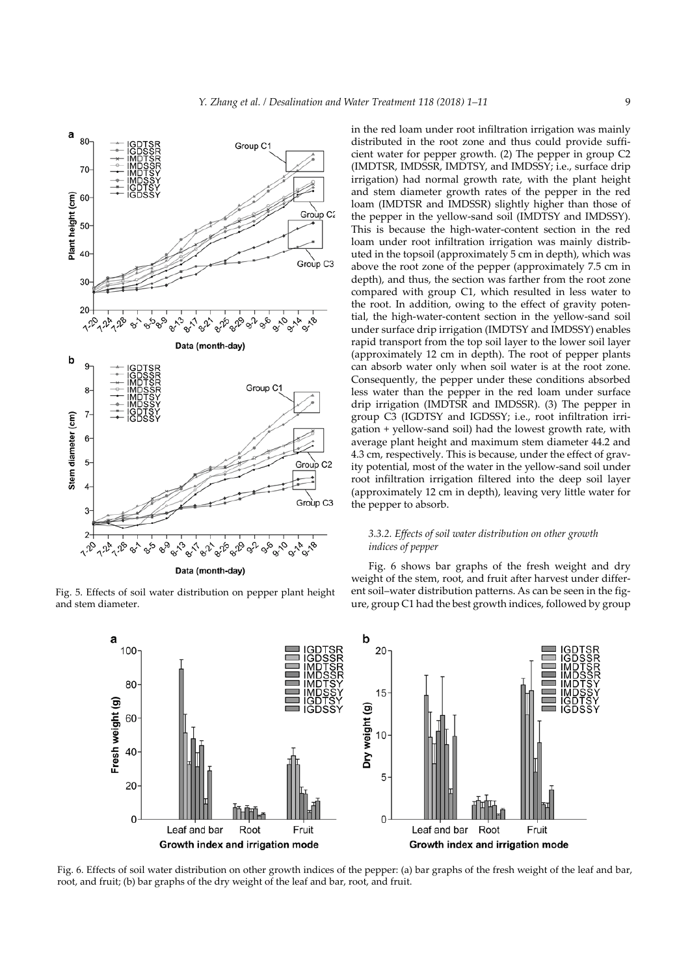

Fig. 5. Effects of soil water distribution on pepper plant height and stem diameter.

in the red loam under root infiltration irrigation was mainly distributed in the root zone and thus could provide sufficient water for pepper growth. (2) The pepper in group C2 (IMDTSR, IMDSSR, IMDTSY, and IMDSSY; i.e., surface drip irrigation) had normal growth rate, with the plant height and stem diameter growth rates of the pepper in the red loam (IMDTSR and IMDSSR) slightly higher than those of the pepper in the yellow-sand soil (IMDTSY and IMDSSY). This is because the high-water-content section in the red loam under root infiltration irrigation was mainly distributed in the topsoil (approximately 5 cm in depth), which was above the root zone of the pepper (approximately 7.5 cm in depth), and thus, the section was farther from the root zone compared with group C1, which resulted in less water to the root. In addition, owing to the effect of gravity potential, the high-water-content section in the yellow-sand soil under surface drip irrigation (IMDTSY and IMDSSY) enables rapid transport from the top soil layer to the lower soil layer (approximately 12 cm in depth). The root of pepper plants can absorb water only when soil water is at the root zone. Consequently, the pepper under these conditions absorbed less water than the pepper in the red loam under surface drip irrigation (IMDTSR and IMDSSR). (3) The pepper in group C3 (IGDTSY and IGDSSY; i.e., root infiltration irrigation + yellow-sand soil) had the lowest growth rate, with average plant height and maximum stem diameter 44.2 and 4.3 cm, respectively. This is because, under the effect of gravity potential, most of the water in the yellow-sand soil under root infiltration irrigation filtered into the deep soil layer (approximately 12 cm in depth), leaving very little water for the pepper to absorb.

# *3.3.2. Effects of soil water distribution on other growth indices of pepper*

Fig. 6 shows bar graphs of the fresh weight and dry weight of the stem, root, and fruit after harvest under different soil–water distribution patterns. As can be seen in the figure, group C1 had the best growth indices, followed by group



Fig. 6. Effects of soil water distribution on other growth indices of the pepper: (a) bar graphs of the fresh weight of the leaf and bar, root, and fruit; (b) bar graphs of the dry weight of the leaf and bar, root, and fruit.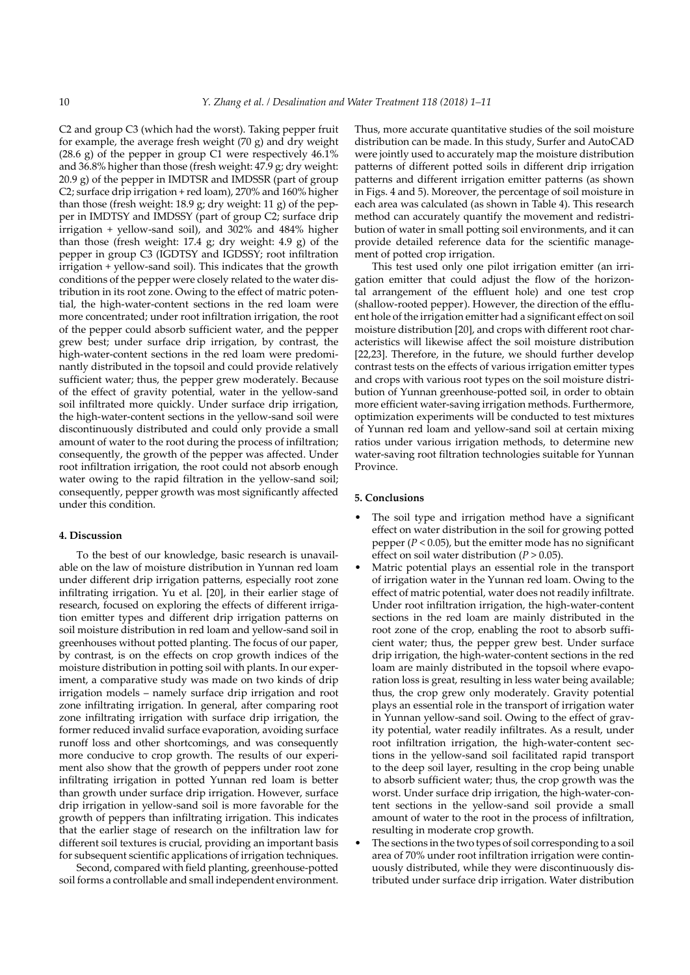C2 and group C3 (which had the worst). Taking pepper fruit for example, the average fresh weight (70 g) and dry weight (28.6 g) of the pepper in group C1 were respectively 46.1% and 36.8% higher than those (fresh weight: 47.9 g; dry weight: 20.9 g) of the pepper in IMDTSR and IMDSSR (part of group C2; surface drip irrigation + red loam), 270% and 160% higher than those (fresh weight: 18.9 g; dry weight: 11 g) of the pepper in IMDTSY and IMDSSY (part of group C2; surface drip irrigation + yellow-sand soil), and 302% and 484% higher than those (fresh weight: 17.4 g; dry weight: 4.9 g) of the pepper in group C3 (IGDTSY and IGDSSY; root infiltration irrigation + yellow-sand soil). This indicates that the growth conditions of the pepper were closely related to the water distribution in its root zone. Owing to the effect of matric potential, the high-water-content sections in the red loam were more concentrated; under root infiltration irrigation, the root of the pepper could absorb sufficient water, and the pepper grew best; under surface drip irrigation, by contrast, the high-water-content sections in the red loam were predominantly distributed in the topsoil and could provide relatively sufficient water; thus, the pepper grew moderately. Because of the effect of gravity potential, water in the yellow-sand soil infiltrated more quickly. Under surface drip irrigation, the high-water-content sections in the yellow-sand soil were discontinuously distributed and could only provide a small amount of water to the root during the process of infiltration; consequently, the growth of the pepper was affected. Under root infiltration irrigation, the root could not absorb enough water owing to the rapid filtration in the yellow-sand soil; consequently, pepper growth was most significantly affected under this condition.

### **4. Discussion**

To the best of our knowledge, basic research is unavailable on the law of moisture distribution in Yunnan red loam under different drip irrigation patterns, especially root zone infiltrating irrigation. Yu et al. [20], in their earlier stage of research, focused on exploring the effects of different irrigation emitter types and different drip irrigation patterns on soil moisture distribution in red loam and yellow-sand soil in greenhouses without potted planting. The focus of our paper, by contrast, is on the effects on crop growth indices of the moisture distribution in potting soil with plants. In our experiment, a comparative study was made on two kinds of drip irrigation models – namely surface drip irrigation and root zone infiltrating irrigation. In general, after comparing root zone infiltrating irrigation with surface drip irrigation, the former reduced invalid surface evaporation, avoiding surface runoff loss and other shortcomings, and was consequently more conducive to crop growth. The results of our experiment also show that the growth of peppers under root zone infiltrating irrigation in potted Yunnan red loam is better than growth under surface drip irrigation. However, surface drip irrigation in yellow-sand soil is more favorable for the growth of peppers than infiltrating irrigation. This indicates that the earlier stage of research on the infiltration law for different soil textures is crucial, providing an important basis for subsequent scientific applications of irrigation techniques.

Second, compared with field planting, greenhouse-potted soil forms a controllable and small independent environment. Thus, more accurate quantitative studies of the soil moisture distribution can be made. In this study, Surfer and AutoCAD were jointly used to accurately map the moisture distribution patterns of different potted soils in different drip irrigation patterns and different irrigation emitter patterns (as shown in Figs. 4 and 5). Moreover, the percentage of soil moisture in each area was calculated (as shown in Table 4). This research method can accurately quantify the movement and redistribution of water in small potting soil environments, and it can provide detailed reference data for the scientific management of potted crop irrigation.

This test used only one pilot irrigation emitter (an irrigation emitter that could adjust the flow of the horizontal arrangement of the effluent hole) and one test crop (shallow-rooted pepper). However, the direction of the effluent hole of the irrigation emitter had a significant effect on soil moisture distribution [20], and crops with different root characteristics will likewise affect the soil moisture distribution [22,23]. Therefore, in the future, we should further develop contrast tests on the effects of various irrigation emitter types and crops with various root types on the soil moisture distribution of Yunnan greenhouse-potted soil, in order to obtain more efficient water-saving irrigation methods. Furthermore, optimization experiments will be conducted to test mixtures of Yunnan red loam and yellow-sand soil at certain mixing ratios under various irrigation methods, to determine new water-saving root filtration technologies suitable for Yunnan Province.

## **5. Conclusions**

- The soil type and irrigation method have a significant effect on water distribution in the soil for growing potted pepper  $(P < 0.05)$ , but the emitter mode has no significant effect on soil water distribution (*P* > 0.05).
- Matric potential plays an essential role in the transport of irrigation water in the Yunnan red loam. Owing to the effect of matric potential, water does not readily infiltrate. Under root infiltration irrigation, the high-water-content sections in the red loam are mainly distributed in the root zone of the crop, enabling the root to absorb sufficient water; thus, the pepper grew best. Under surface drip irrigation, the high-water-content sections in the red loam are mainly distributed in the topsoil where evaporation loss is great, resulting in less water being available; thus, the crop grew only moderately. Gravity potential plays an essential role in the transport of irrigation water in Yunnan yellow-sand soil. Owing to the effect of gravity potential, water readily infiltrates. As a result, under root infiltration irrigation, the high-water-content sections in the yellow-sand soil facilitated rapid transport to the deep soil layer, resulting in the crop being unable to absorb sufficient water; thus, the crop growth was the worst. Under surface drip irrigation, the high-water-content sections in the yellow-sand soil provide a small amount of water to the root in the process of infiltration, resulting in moderate crop growth.
- The sections in the two types of soil corresponding to a soil area of 70% under root infiltration irrigation were continuously distributed, while they were discontinuously distributed under surface drip irrigation. Water distribution